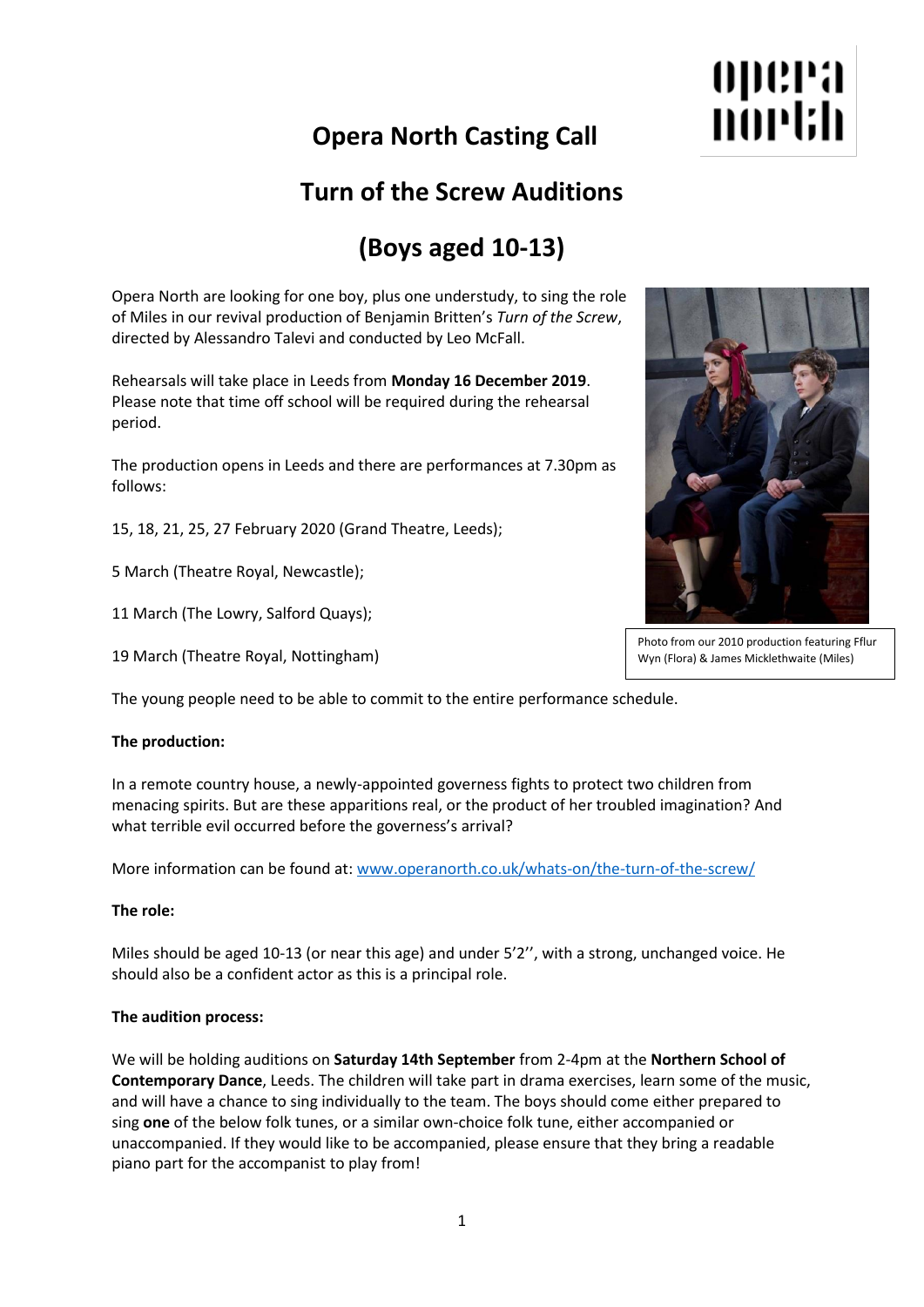# **Opera North Casting Call**

## **Turn of the Screw Auditions**

# **(Boys aged 10-13)**

Opera North are looking for one boy, plus one understudy, to sing the role of Miles in our revival production of Benjamin Britten's *Turn of the Screw*, directed by Alessandro Talevi and conducted by Leo McFall.

Rehearsals will take place in Leeds from **Monday 16 December 2019**. Please note that time off school will be required during the rehearsal period.

The production opens in Leeds and there are performances at 7.30pm as follows:

15, 18, 21, 25, 27 February 2020 (Grand Theatre, Leeds);

5 March (Theatre Royal, Newcastle);

11 March (The Lowry, Salford Quays);

19 March (Theatre Royal, Nottingham)

The young people need to be able to commit to the entire performance schedule.

### **The production:**

In a remote country house, a newly-appointed governess fights to protect two children from menacing spirits. But are these apparitions real, or the product of her troubled imagination? And what terrible evil occurred before the governess's arrival?

More information can be found at: [www.operanorth.co.uk/whats-on/the-turn-of-the-screw/](https://www.operanorth.co.uk/whats-on/the-turn-of-the-screw/)

### **The role:**

Miles should be aged 10-13 (or near this age) and under 5'2'', with a strong, unchanged voice. He should also be a confident actor as this is a principal role.

### **The audition process:**

We will be holding auditions on **Saturday 14th September** from 2-4pm at the **Northern School of Contemporary Dance**, Leeds. The children will take part in drama exercises, learn some of the music, and will have a chance to sing individually to the team. The boys should come either prepared to sing **one** of the below folk tunes, or a similar own-choice folk tune, either accompanied or unaccompanied. If they would like to be accompanied, please ensure that they bring a readable piano part for the accompanist to play from!

Photo from our 2010 production featuring Fflur Wyn (Flora) & James Micklethwaite (Miles)